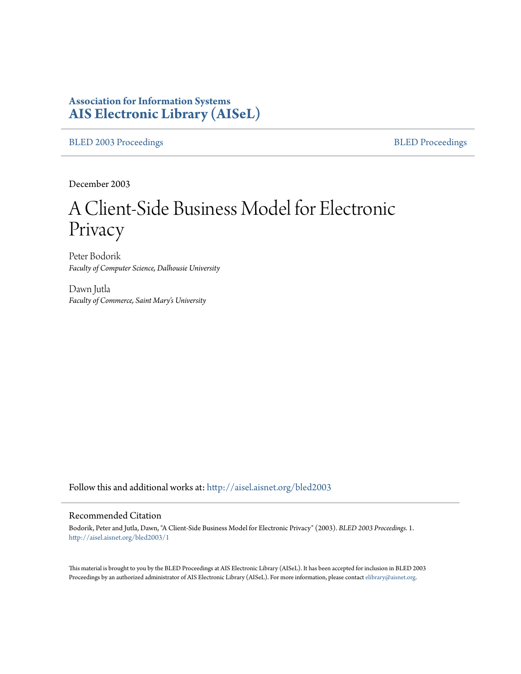# **Association for Information Systems [AIS Electronic Library \(AISeL\)](http://aisel.aisnet.org?utm_source=aisel.aisnet.org%2Fbled2003%2F1&utm_medium=PDF&utm_campaign=PDFCoverPages)**

[BLED 2003 Proceedings](http://aisel.aisnet.org/bled2003?utm_source=aisel.aisnet.org%2Fbled2003%2F1&utm_medium=PDF&utm_campaign=PDFCoverPages) and the [BLED Proceedings](http://aisel.aisnet.org/bled?utm_source=aisel.aisnet.org%2Fbled2003%2F1&utm_medium=PDF&utm_campaign=PDFCoverPages) BLED Proceedings

December 2003

# A Client-Side Business Model for Electronic Privacy

Peter Bodorik *Faculty of Computer Science, Dalhousie University*

Dawn Jutla *Faculty of Commerce, Saint Mary's University*

Follow this and additional works at: [http://aisel.aisnet.org/bled2003](http://aisel.aisnet.org/bled2003?utm_source=aisel.aisnet.org%2Fbled2003%2F1&utm_medium=PDF&utm_campaign=PDFCoverPages)

#### Recommended Citation

Bodorik, Peter and Jutla, Dawn, "A Client-Side Business Model for Electronic Privacy" (2003). *BLED 2003 Proceedings*. 1. [http://aisel.aisnet.org/bled2003/1](http://aisel.aisnet.org/bled2003/1?utm_source=aisel.aisnet.org%2Fbled2003%2F1&utm_medium=PDF&utm_campaign=PDFCoverPages)

This material is brought to you by the BLED Proceedings at AIS Electronic Library (AISeL). It has been accepted for inclusion in BLED 2003 Proceedings by an authorized administrator of AIS Electronic Library (AISeL). For more information, please contact [elibrary@aisnet.org](mailto:elibrary@aisnet.org%3E).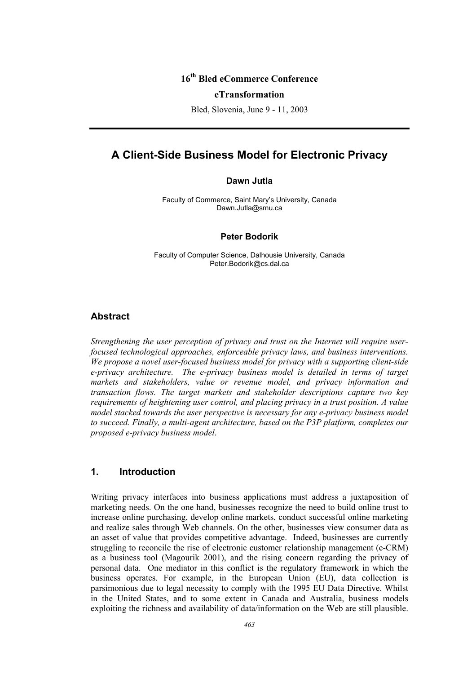## **16th Bled eCommerce Conference**

#### **eTransformation**

Bled, Slovenia, June 9 - 11, 2003

## **A Client-Side Business Model for Electronic Privacy**

#### **Dawn Jutla**

Faculty of Commerce, Saint Mary's University, Canada Dawn.Jutla@smu.ca

#### **Peter Bodorik**

Faculty of Computer Science, Dalhousie University, Canada Peter.Bodorik@cs.dal.ca

#### **Abstract**

*Strengthening the user perception of privacy and trust on the Internet will require userfocused technological approaches, enforceable privacy laws, and business interventions. We propose a novel user-focused business model for privacy with a supporting client-side e-privacy architecture. The e-privacy business model is detailed in terms of target markets and stakeholders, value or revenue model, and privacy information and transaction flows. The target markets and stakeholder descriptions capture two key requirements of heightening user control, and placing privacy in a trust position. A value model stacked towards the user perspective is necessary for any e-privacy business model to succeed. Finally, a multi-agent architecture, based on the P3P platform, completes our proposed e-privacy business model*.

## **1. Introduction**

Writing privacy interfaces into business applications must address a juxtaposition of marketing needs. On the one hand, businesses recognize the need to build online trust to increase online purchasing, develop online markets, conduct successful online marketing and realize sales through Web channels. On the other, businesses view consumer data as an asset of value that provides competitive advantage. Indeed, businesses are currently struggling to reconcile the rise of electronic customer relationship management (e-CRM) as a business tool (Magourik 2001), and the rising concern regarding the privacy of personal data. One mediator in this conflict is the regulatory framework in which the business operates. For example, in the European Union (EU), data collection is parsimonious due to legal necessity to comply with the 1995 EU Data Directive. Whilst in the United States, and to some extent in Canada and Australia, business models exploiting the richness and availability of data/information on the Web are still plausible.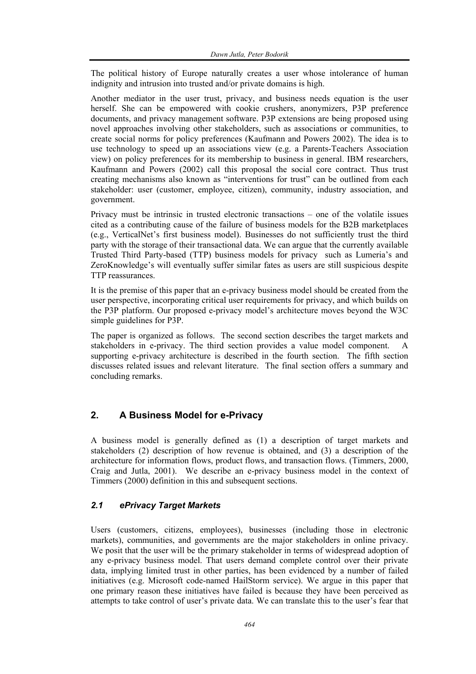The political history of Europe naturally creates a user whose intolerance of human indignity and intrusion into trusted and/or private domains is high.

Another mediator in the user trust, privacy, and business needs equation is the user herself. She can be empowered with cookie crushers, anonymizers, P3P preference documents, and privacy management software. P3P extensions are being proposed using novel approaches involving other stakeholders, such as associations or communities, to create social norms for policy preferences (Kaufmann and Powers 2002). The idea is to use technology to speed up an associations view (e.g. a Parents-Teachers Association view) on policy preferences for its membership to business in general. IBM researchers, Kaufmann and Powers (2002) call this proposal the social core contract. Thus trust creating mechanisms also known as "interventions for trust" can be outlined from each stakeholder: user (customer, employee, citizen), community, industry association, and government.

Privacy must be intrinsic in trusted electronic transactions – one of the volatile issues cited as a contributing cause of the failure of business models for the B2B marketplaces (e.g., VerticalNet's first business model). Businesses do not sufficiently trust the third party with the storage of their transactional data. We can argue that the currently available Trusted Third Party-based (TTP) business models for privacy such as Lumeria's and ZeroKnowledge's will eventually suffer similar fates as users are still suspicious despite TTP reassurances.

It is the premise of this paper that an e-privacy business model should be created from the user perspective, incorporating critical user requirements for privacy, and which builds on the P3P platform. Our proposed e-privacy model's architecture moves beyond the W3C simple guidelines for P3P.

The paper is organized as follows. The second section describes the target markets and stakeholders in e-privacy. The third section provides a value model component. A supporting e-privacy architecture is described in the fourth section. The fifth section discusses related issues and relevant literature. The final section offers a summary and concluding remarks.

## **2. A Business Model for e-Privacy**

A business model is generally defined as (1) a description of target markets and stakeholders (2) description of how revenue is obtained, and (3) a description of the architecture for information flows, product flows, and transaction flows. (Timmers, 2000, Craig and Jutla, 2001). We describe an e-privacy business model in the context of Timmers (2000) definition in this and subsequent sections.

#### *2.1 ePrivacy Target Markets*

Users (customers, citizens, employees), businesses (including those in electronic markets), communities, and governments are the major stakeholders in online privacy. We posit that the user will be the primary stakeholder in terms of widespread adoption of any e-privacy business model. That users demand complete control over their private data, implying limited trust in other parties, has been evidenced by a number of failed initiatives (e.g. Microsoft code-named HailStorm service). We argue in this paper that one primary reason these initiatives have failed is because they have been perceived as attempts to take control of user's private data. We can translate this to the user's fear that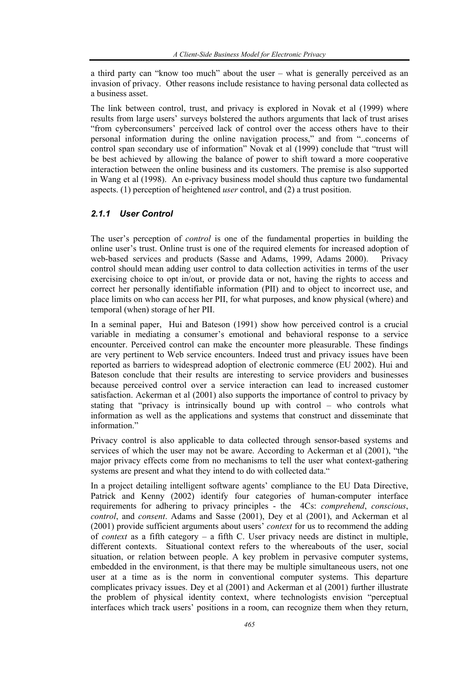a third party can "know too much" about the user – what is generally perceived as an invasion of privacy. Other reasons include resistance to having personal data collected as a business asset.

The link between control, trust, and privacy is explored in Novak et al (1999) where results from large users' surveys bolstered the authors arguments that lack of trust arises "from cyberconsumers' perceived lack of control over the access others have to their personal information during the online navigation process," and from "..concerns of control span secondary use of information" Novak et al (1999) conclude that "trust will be best achieved by allowing the balance of power to shift toward a more cooperative interaction between the online business and its customers. The premise is also supported in Wang et al (1998). An e-privacy business model should thus capture two fundamental aspects. (1) perception of heightened *user* control, and (2) a trust position.

#### *2.1.1 User Control*

The user's perception of *control* is one of the fundamental properties in building the online user's trust. Online trust is one of the required elements for increased adoption of web-based services and products (Sasse and Adams, 1999, Adams 2000). Privacy control should mean adding user control to data collection activities in terms of the user exercising choice to opt in/out, or provide data or not, having the rights to access and correct her personally identifiable information (PII) and to object to incorrect use, and place limits on who can access her PII, for what purposes, and know physical (where) and temporal (when) storage of her PII.

In a seminal paper, Hui and Bateson (1991) show how perceived control is a crucial variable in mediating a consumer's emotional and behavioral response to a service encounter. Perceived control can make the encounter more pleasurable. These findings are very pertinent to Web service encounters. Indeed trust and privacy issues have been reported as barriers to widespread adoption of electronic commerce (EU 2002). Hui and Bateson conclude that their results are interesting to service providers and businesses because perceived control over a service interaction can lead to increased customer satisfaction. Ackerman et al (2001) also supports the importance of control to privacy by stating that "privacy is intrinsically bound up with control – who controls what information as well as the applications and systems that construct and disseminate that information."

Privacy control is also applicable to data collected through sensor-based systems and services of which the user may not be aware. According to Ackerman et al (2001), "the major privacy effects come from no mechanisms to tell the user what context-gathering systems are present and what they intend to do with collected data."

In a project detailing intelligent software agents' compliance to the EU Data Directive, Patrick and Kenny (2002) identify four categories of human-computer interface requirements for adhering to privacy principles - the 4Cs: *comprehend*, *conscious*, *control*, and *consent*. Adams and Sasse (2001), Dey et al (2001), and Ackerman et al (2001) provide sufficient arguments about users' *context* for us to recommend the adding of *context* as a fifth category – a fifth C. User privacy needs are distinct in multiple, different contexts. Situational context refers to the whereabouts of the user, social situation, or relation between people. A key problem in pervasive computer systems, embedded in the environment, is that there may be multiple simultaneous users, not one user at a time as is the norm in conventional computer systems. This departure complicates privacy issues. Dey et al (2001) and Ackerman et al (2001) further illustrate the problem of physical identity context, where technologists envision "perceptual interfaces which track users' positions in a room, can recognize them when they return,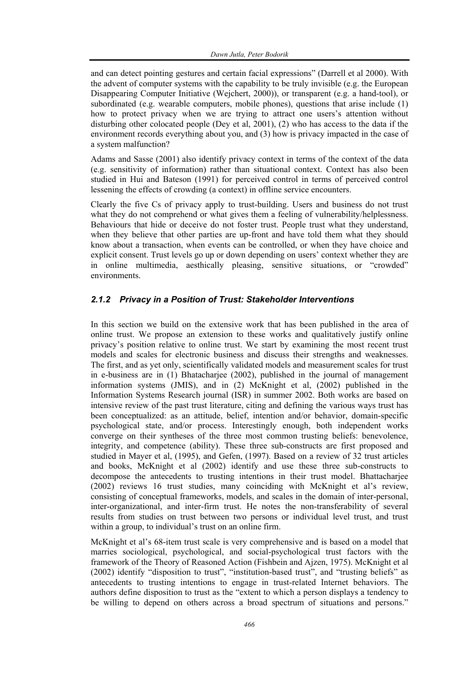and can detect pointing gestures and certain facial expressions" (Darrell et al 2000). With the advent of computer systems with the capability to be truly invisible (e.g. the European Disappearing Computer Initiative (Wejchert, 2000)), or transparent (e.g. a hand-tool), or subordinated (e.g. wearable computers, mobile phones), questions that arise include  $(1)$ how to protect privacy when we are trying to attract one users's attention without disturbing other colocated people (Dey et al, 2001), (2) who has access to the data if the environment records everything about you, and (3) how is privacy impacted in the case of a system malfunction?

Adams and Sasse (2001) also identify privacy context in terms of the context of the data (e.g. sensitivity of information) rather than situational context. Context has also been studied in Hui and Bateson (1991) for perceived control in terms of perceived control lessening the effects of crowding (a context) in offline service encounters.

Clearly the five Cs of privacy apply to trust-building. Users and business do not trust what they do not comprehend or what gives them a feeling of vulnerability/helplessness. Behaviours that hide or deceive do not foster trust. People trust what they understand, when they believe that other parties are up-front and have told them what they should know about a transaction, when events can be controlled, or when they have choice and explicit consent. Trust levels go up or down depending on users' context whether they are in online multimedia, aesthically pleasing, sensitive situations, or "crowded" environments.

#### *2.1.2 Privacy in a Position of Trust: Stakeholder Interventions*

In this section we build on the extensive work that has been published in the area of online trust. We propose an extension to these works and qualitatively justify online privacy's position relative to online trust. We start by examining the most recent trust models and scales for electronic business and discuss their strengths and weaknesses. The first, and as yet only, scientifically validated models and measurement scales for trust in e-business are in (1) Bhatacharjee (2002), published in the journal of management information systems (JMIS), and in (2) McKnight et al, (2002) published in the Information Systems Research journal (ISR) in summer 2002. Both works are based on intensive review of the past trust literature, citing and defining the various ways trust has been conceptualized: as an attitude, belief, intention and/or behavior, domain-specific psychological state, and/or process. Interestingly enough, both independent works converge on their syntheses of the three most common trusting beliefs: benevolence, integrity, and competence (ability). These three sub-constructs are first proposed and studied in Mayer et al, (1995), and Gefen, (1997). Based on a review of 32 trust articles and books, McKnight et al (2002) identify and use these three sub-constructs to decompose the antecedents to trusting intentions in their trust model. Bhattacharjee (2002) reviews 16 trust studies, many coinciding with McKnight et al's review, consisting of conceptual frameworks, models, and scales in the domain of inter-personal, inter-organizational, and inter-firm trust. He notes the non-transferability of several results from studies on trust between two persons or individual level trust, and trust within a group, to individual's trust on an online firm.

McKnight et al's 68-item trust scale is very comprehensive and is based on a model that marries sociological, psychological, and social-psychological trust factors with the framework of the Theory of Reasoned Action (Fishbein and Ajzen, 1975). McKnight et al (2002) identify "disposition to trust", "institution-based trust", and "trusting beliefs" as antecedents to trusting intentions to engage in trust-related Internet behaviors. The authors define disposition to trust as the "extent to which a person displays a tendency to be willing to depend on others across a broad spectrum of situations and persons."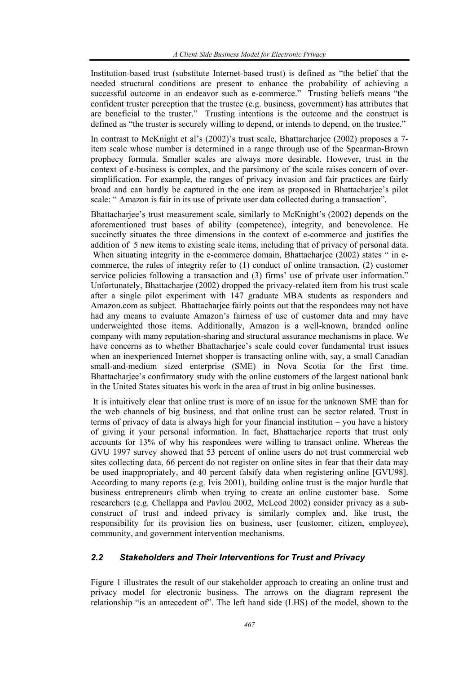Institution-based trust (substitute Internet-based trust) is defined as "the belief that the needed structural conditions are present to enhance the probability of achieving a successful outcome in an endeavor such as e-commerce." Trusting beliefs means "the confident truster perception that the trustee (e.g. business, government) has attributes that are beneficial to the truster." Trusting intentions is the outcome and the construct is defined as "the truster is securely willing to depend, or intends to depend, on the trustee."

In contrast to McKnight et al's (2002)'s trust scale, Bhattarcharjee (2002) proposes a 7 item scale whose number is determined in a range through use of the Spearman-Brown prophecy formula. Smaller scales are always more desirable. However, trust in the context of e-business is complex, and the parsimony of the scale raises concern of oversimplification. For example, the ranges of privacy invasion and fair practices are fairly broad and can hardly be captured in the one item as proposed in Bhattacharjee's pilot scale: " Amazon is fair in its use of private user data collected during a transaction".

Bhattacharjee's trust measurement scale, similarly to McKnight's (2002) depends on the aforementioned trust bases of ability (competence), integrity, and benevolence. He succinctly situates the three dimensions in the context of e-commerce and justifies the addition of 5 new items to existing scale items, including that of privacy of personal data. When situating integrity in the e-commerce domain, Bhattacharjee (2002) states " in ecommerce, the rules of integrity refer to (1) conduct of online transaction, (2) customer service policies following a transaction and (3) firms' use of private user information." Unfortunately, Bhattacharjee (2002) dropped the privacy-related item from his trust scale after a single pilot experiment with 147 graduate MBA students as responders and Amazon.com as subject. Bhattacharjee fairly points out that the respondees may not have had any means to evaluate Amazon's fairness of use of customer data and may have underweighted those items. Additionally, Amazon is a well-known, branded online company with many reputation-sharing and structural assurance mechanisms in place. We have concerns as to whether Bhattacharjee's scale could cover fundamental trust issues when an inexperienced Internet shopper is transacting online with, say, a small Canadian small-and-medium sized enterprise (SME) in Nova Scotia for the first time. Bhattacharjee's confirmatory study with the online customers of the largest national bank in the United States situates his work in the area of trust in big online businesses.

 It is intuitively clear that online trust is more of an issue for the unknown SME than for the web channels of big business, and that online trust can be sector related. Trust in terms of privacy of data is always high for your financial institution – you have a history of giving it your personal information. In fact, Bhattacharjee reports that trust only accounts for 13% of why his respondees were willing to transact online. Whereas the GVU 1997 survey showed that 53 percent of online users do not trust commercial web sites collecting data, 66 percent do not register on online sites in fear that their data may be used inappropriately, and 40 percent falsify data when registering online [GVU98]. According to many reports (e.g. Ivis 2001), building online trust is the major hurdle that business entrepreneurs climb when trying to create an online customer base. Some researchers (e.g. Chellappa and Pavlou 2002, McLeod 2002) consider privacy as a subconstruct of trust and indeed privacy is similarly complex and, like trust, the responsibility for its provision lies on business, user (customer, citizen, employee), community, and government intervention mechanisms.

## *2.2 Stakeholders and Their Interventions for Trust and Privacy*

Figure 1 illustrates the result of our stakeholder approach to creating an online trust and privacy model for electronic business. The arrows on the diagram represent the relationship "is an antecedent of". The left hand side (LHS) of the model, shown to the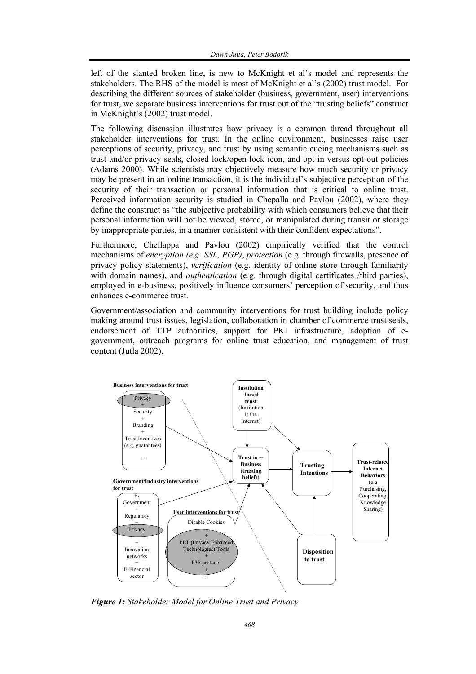left of the slanted broken line, is new to McKnight et al's model and represents the stakeholders. The RHS of the model is most of McKnight et al's (2002) trust model. For describing the different sources of stakeholder (business, government, user) interventions for trust, we separate business interventions for trust out of the "trusting beliefs" construct in McKnight's (2002) trust model.

The following discussion illustrates how privacy is a common thread throughout all stakeholder interventions for trust. In the online environment, businesses raise user perceptions of security, privacy, and trust by using semantic cueing mechanisms such as trust and/or privacy seals, closed lock/open lock icon, and opt-in versus opt-out policies (Adams 2000). While scientists may objectively measure how much security or privacy may be present in an online transaction, it is the individual's subjective perception of the security of their transaction or personal information that is critical to online trust. Perceived information security is studied in Chepalla and Pavlou (2002), where they define the construct as "the subjective probability with which consumers believe that their personal information will not be viewed, stored, or manipulated during transit or storage by inappropriate parties, in a manner consistent with their confident expectations".

Furthermore, Chellappa and Pavlou (2002) empirically verified that the control mechanisms of *encryption (e.g. SSL, PGP)*, *protection* (e.g. through firewalls, presence of privacy policy statements), *verification* (e.g. identity of online store through familiarity with domain names), and *authentication* (e.g. through digital certificates /third parties), employed in e-business, positively influence consumers' perception of security, and thus enhances e-commerce trust.

Government/association and community interventions for trust building include policy making around trust issues, legislation, collaboration in chamber of commerce trust seals, endorsement of TTP authorities, support for PKI infrastructure, adoption of egovernment, outreach programs for online trust education, and management of trust content (Jutla 2002).



*Figure 1: Stakeholder Model for Online Trust and Privacy*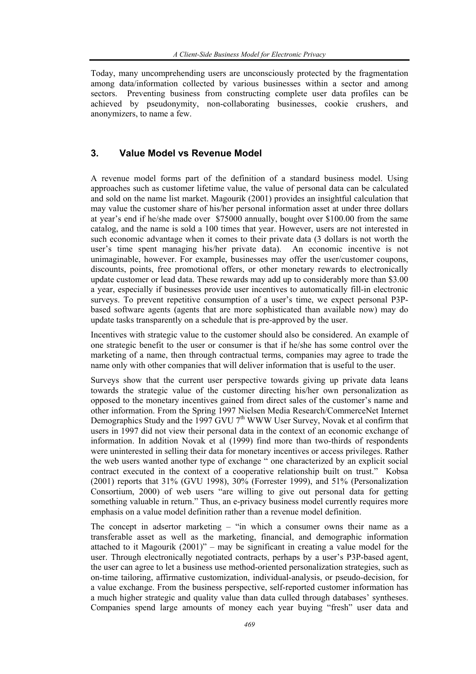Today, many uncomprehending users are unconsciously protected by the fragmentation among data/information collected by various businesses within a sector and among sectors. Preventing business from constructing complete user data profiles can be achieved by pseudonymity, non-collaborating businesses, cookie crushers, and anonymizers, to name a few.

## **3. Value Model vs Revenue Model**

A revenue model forms part of the definition of a standard business model. Using approaches such as customer lifetime value, the value of personal data can be calculated and sold on the name list market. Magourik (2001) provides an insightful calculation that may value the customer share of his/her personal information asset at under three dollars at year's end if he/she made over \$75000 annually, bought over \$100.00 from the same catalog, and the name is sold a 100 times that year. However, users are not interested in such economic advantage when it comes to their private data (3 dollars is not worth the user's time spent managing his/her private data). An economic incentive is not unimaginable, however. For example, businesses may offer the user/customer coupons, discounts, points, free promotional offers, or other monetary rewards to electronically update customer or lead data. These rewards may add up to considerably more than \$3.00 a year, especially if businesses provide user incentives to automatically fill-in electronic surveys. To prevent repetitive consumption of a user's time, we expect personal P3Pbased software agents (agents that are more sophisticated than available now) may do update tasks transparently on a schedule that is pre-approved by the user.

Incentives with strategic value to the customer should also be considered. An example of one strategic benefit to the user or consumer is that if he/she has some control over the marketing of a name, then through contractual terms, companies may agree to trade the name only with other companies that will deliver information that is useful to the user.

Surveys show that the current user perspective towards giving up private data leans towards the strategic value of the customer directing his/her own personalization as opposed to the monetary incentives gained from direct sales of the customer's name and other information. From the Spring 1997 Nielsen Media Research/CommerceNet Internet Demographics Study and the 1997 GVU 7<sup>th</sup> WWW User Survey, Novak et al confirm that users in 1997 did not view their personal data in the context of an economic exchange of information. In addition Novak et al (1999) find more than two-thirds of respondents were uninterested in selling their data for monetary incentives or access privileges. Rather the web users wanted another type of exchange " one characterized by an explicit social contract executed in the context of a cooperative relationship built on trust." Kobsa (2001) reports that 31% (GVU 1998), 30% (Forrester 1999), and 51% (Personalization Consortium, 2000) of web users "are willing to give out personal data for getting something valuable in return." Thus, an e-privacy business model currently requires more emphasis on a value model definition rather than a revenue model definition.

The concept in adsertor marketing – "in which a consumer owns their name as a transferable asset as well as the marketing, financial, and demographic information attached to it Magourik (2001)" – may be significant in creating a value model for the user. Through electronically negotiated contracts, perhaps by a user's P3P-based agent, the user can agree to let a business use method-oriented personalization strategies, such as on-time tailoring, affirmative customization, individual-analysis, or pseudo-decision, for a value exchange. From the business perspective, self-reported customer information has a much higher strategic and quality value than data culled through databases' syntheses. Companies spend large amounts of money each year buying "fresh" user data and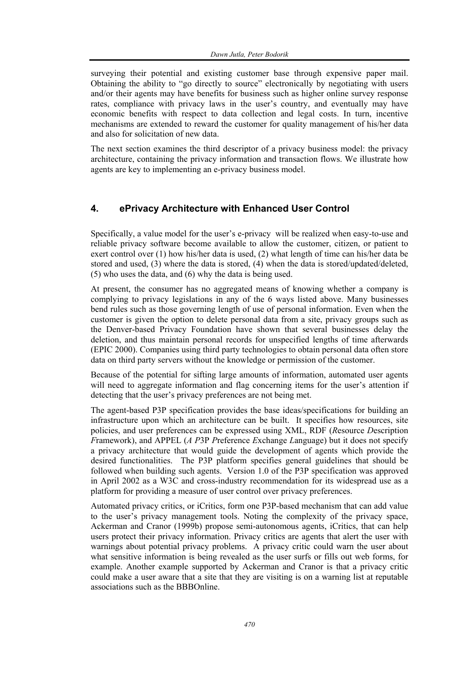surveying their potential and existing customer base through expensive paper mail. Obtaining the ability to "go directly to source" electronically by negotiating with users and/or their agents may have benefits for business such as higher online survey response rates, compliance with privacy laws in the user's country, and eventually may have economic benefits with respect to data collection and legal costs. In turn, incentive mechanisms are extended to reward the customer for quality management of his/her data and also for solicitation of new data.

The next section examines the third descriptor of a privacy business model: the privacy architecture, containing the privacy information and transaction flows. We illustrate how agents are key to implementing an e-privacy business model.

## **4. ePrivacy Architecture with Enhanced User Control**

Specifically, a value model for the user's e-privacy will be realized when easy-to-use and reliable privacy software become available to allow the customer, citizen, or patient to exert control over (1) how his/her data is used, (2) what length of time can his/her data be stored and used, (3) where the data is stored, (4) when the data is stored/updated/deleted, (5) who uses the data, and (6) why the data is being used.

At present, the consumer has no aggregated means of knowing whether a company is complying to privacy legislations in any of the 6 ways listed above. Many businesses bend rules such as those governing length of use of personal information. Even when the customer is given the option to delete personal data from a site, privacy groups such as the Denver-based Privacy Foundation have shown that several businesses delay the deletion, and thus maintain personal records for unspecified lengths of time afterwards (EPIC 2000). Companies using third party technologies to obtain personal data often store data on third party servers without the knowledge or permission of the customer.

Because of the potential for sifting large amounts of information, automated user agents will need to aggregate information and flag concerning items for the user's attention if detecting that the user's privacy preferences are not being met.

The agent-based P3P specification provides the base ideas/specifications for building an infrastructure upon which an architecture can be built. It specifies how resources, site policies, and user preferences can be expressed using XML, RDF (*R*esource *D*escription *F*ramework), and APPEL (*A P*3P *P*reference *E*xchange *L*anguage) but it does not specify a privacy architecture that would guide the development of agents which provide the desired functionalities. The P3P platform specifies general guidelines that should be followed when building such agents. Version 1.0 of the P3P specification was approved in April 2002 as a W3C and cross-industry recommendation for its widespread use as a platform for providing a measure of user control over privacy preferences.

Automated privacy critics, or iCritics, form one P3P-based mechanism that can add value to the user's privacy management tools. Noting the complexity of the privacy space, Ackerman and Cranor (1999b) propose semi-autonomous agents, iCritics, that can help users protect their privacy information. Privacy critics are agents that alert the user with warnings about potential privacy problems. A privacy critic could warn the user about what sensitive information is being revealed as the user surfs or fills out web forms, for example. Another example supported by Ackerman and Cranor is that a privacy critic could make a user aware that a site that they are visiting is on a warning list at reputable associations such as the BBBOnline.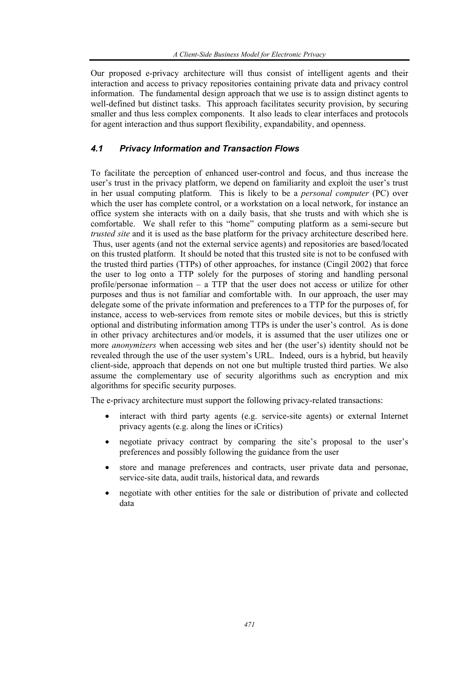Our proposed e-privacy architecture will thus consist of intelligent agents and their interaction and access to privacy repositories containing private data and privacy control information. The fundamental design approach that we use is to assign distinct agents to well-defined but distinct tasks. This approach facilitates security provision, by securing smaller and thus less complex components. It also leads to clear interfaces and protocols for agent interaction and thus support flexibility, expandability, and openness.

#### *4.1 Privacy Information and Transaction Flows*

To facilitate the perception of enhanced user-control and focus, and thus increase the user's trust in the privacy platform, we depend on familiarity and exploit the user's trust in her usual computing platform. This is likely to be a *personal computer* (PC) over which the user has complete control, or a workstation on a local network, for instance an office system she interacts with on a daily basis, that she trusts and with which she is comfortable. We shall refer to this "home" computing platform as a semi-secure but *trusted site* and it is used as the base platform for the privacy architecture described here. Thus, user agents (and not the external service agents) and repositories are based/located on this trusted platform. It should be noted that this trusted site is not to be confused with the trusted third parties (TTPs) of other approaches, for instance (Cingil 2002) that force the user to log onto a TTP solely for the purposes of storing and handling personal profile/personae information – a TTP that the user does not access or utilize for other purposes and thus is not familiar and comfortable with. In our approach, the user may delegate some of the private information and preferences to a TTP for the purposes of, for instance, access to web-services from remote sites or mobile devices, but this is strictly optional and distributing information among TTPs is under the user's control. As is done in other privacy architectures and/or models, it is assumed that the user utilizes one or more *anonymizers* when accessing web sites and her (the user's) identity should not be revealed through the use of the user system's URL. Indeed, ours is a hybrid, but heavily client-side, approach that depends on not one but multiple trusted third parties. We also assume the complementary use of security algorithms such as encryption and mix algorithms for specific security purposes.

The e-privacy architecture must support the following privacy-related transactions:

- interact with third party agents (e.g. service-site agents) or external Internet privacy agents (e.g. along the lines or iCritics)
- negotiate privacy contract by comparing the site's proposal to the user's preferences and possibly following the guidance from the user
- store and manage preferences and contracts, user private data and personae, service-site data, audit trails, historical data, and rewards
- negotiate with other entities for the sale or distribution of private and collected data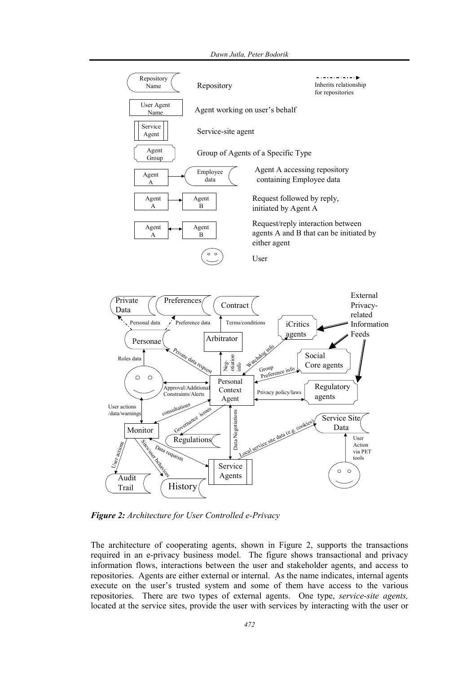#### *Dawn Jutla, Peter Bodorik*



*Figure 2: Architecture for User Controlled e-Privacy* 

The architecture of cooperating agents, shown in Figure 2, supports the transactions required in an e-privacy business model. The figure shows transactional and privacy information flows, interactions between the user and stakeholder agents, and access to repositories. Agents are either external or internal. As the name indicates, internal agents execute on the user's trusted system and some of them have access to the various repositories. There are two types of external agents. One type, *service-site agents,* located at the service sites, provide the user with services by interacting with the user or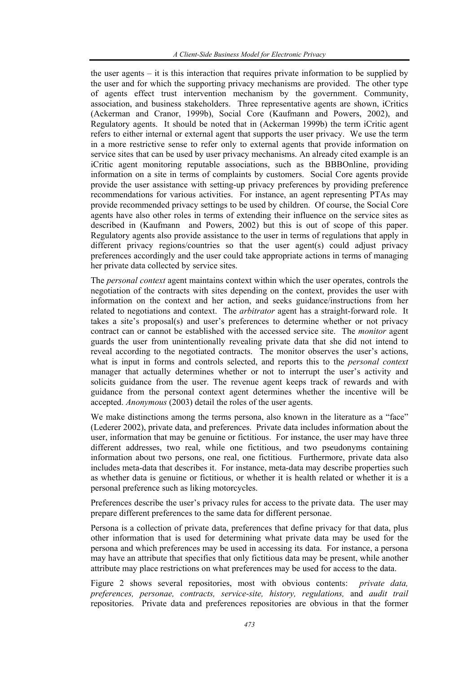the user agents – it is this interaction that requires private information to be supplied by the user and for which the supporting privacy mechanisms are provided. The other type of agents effect trust intervention mechanism by the government. Community, association, and business stakeholders. Three representative agents are shown, iCritics (Ackerman and Cranor, 1999b), Social Core (Kaufmann and Powers, 2002), and Regulatory agents. It should be noted that in (Ackerman 1999b) the term iCritic agent refers to either internal or external agent that supports the user privacy. We use the term in a more restrictive sense to refer only to external agents that provide information on service sites that can be used by user privacy mechanisms. An already cited example is an iCritic agent monitoring reputable associations, such as the BBBOnline, providing information on a site in terms of complaints by customers. Social Core agents provide provide the user assistance with setting-up privacy preferences by providing preference recommendations for various activities. For instance, an agent representing PTAs may provide recommended privacy settings to be used by children. Of course, the Social Core agents have also other roles in terms of extending their influence on the service sites as described in (Kaufmann and Powers, 2002) but this is out of scope of this paper. Regulatory agents also provide assistance to the user in terms of regulations that apply in different privacy regions/countries so that the user agent(s) could adjust privacy preferences accordingly and the user could take appropriate actions in terms of managing her private data collected by service sites.

The *personal context* agent maintains context within which the user operates, controls the negotiation of the contracts with sites depending on the context, provides the user with information on the context and her action, and seeks guidance/instructions from her related to negotiations and context. The *arbitrator* agent has a straight-forward role. It takes a site's proposal(s) and user's preferences to determine whether or not privacy contract can or cannot be established with the accessed service site. The *monitor* agent guards the user from unintentionally revealing private data that she did not intend to reveal according to the negotiated contracts. The monitor observes the user's actions, what is input in forms and controls selected, and reports this to the *personal context* manager that actually determines whether or not to interrupt the user's activity and solicits guidance from the user. The revenue agent keeps track of rewards and with guidance from the personal context agent determines whether the incentive will be accepted. *Anonymous* (2003) detail the roles of the user agents.

We make distinctions among the terms persona, also known in the literature as a "face" (Lederer 2002), private data, and preferences. Private data includes information about the user, information that may be genuine or fictitious. For instance, the user may have three different addresses, two real, while one fictitious, and two pseudonyms containing information about two persons, one real, one fictitious. Furthermore, private data also includes meta-data that describes it. For instance, meta-data may describe properties such as whether data is genuine or fictitious, or whether it is health related or whether it is a personal preference such as liking motorcycles.

Preferences describe the user's privacy rules for access to the private data. The user may prepare different preferences to the same data for different personae.

Persona is a collection of private data, preferences that define privacy for that data, plus other information that is used for determining what private data may be used for the persona and which preferences may be used in accessing its data. For instance, a persona may have an attribute that specifies that only fictitious data may be present, while another attribute may place restrictions on what preferences may be used for access to the data.

Figure 2 shows several repositories, most with obvious contents: *private data, preferences, personae, contracts, service-site, history, regulations,* and *audit trail*  repositories. Private data and preferences repositories are obvious in that the former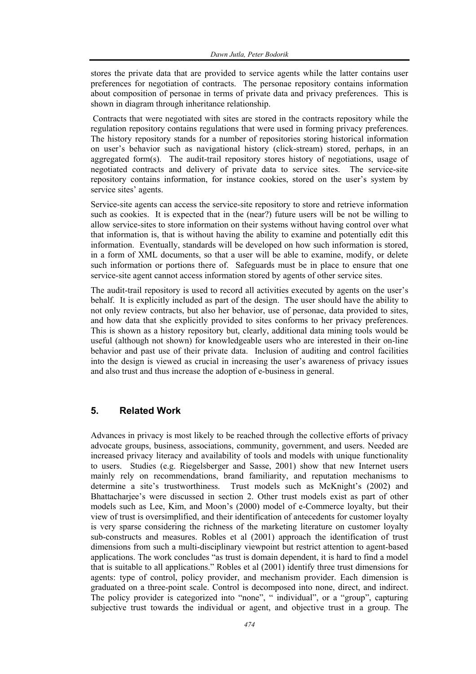stores the private data that are provided to service agents while the latter contains user preferences for negotiation of contracts. The personae repository contains information about composition of personae in terms of private data and privacy preferences. This is shown in diagram through inheritance relationship.

 Contracts that were negotiated with sites are stored in the contracts repository while the regulation repository contains regulations that were used in forming privacy preferences. The history repository stands for a number of repositories storing historical information on user's behavior such as navigational history (click-stream) stored, perhaps, in an aggregated form(s). The audit-trail repository stores history of negotiations, usage of negotiated contracts and delivery of private data to service sites. The service-site repository contains information, for instance cookies, stored on the user's system by service sites' agents.

Service-site agents can access the service-site repository to store and retrieve information such as cookies. It is expected that in the (near?) future users will be not be willing to allow service-sites to store information on their systems without having control over what that information is, that is without having the ability to examine and potentially edit this information. Eventually, standards will be developed on how such information is stored, in a form of XML documents, so that a user will be able to examine, modify, or delete such information or portions there of. Safeguards must be in place to ensure that one service-site agent cannot access information stored by agents of other service sites.

The audit-trail repository is used to record all activities executed by agents on the user's behalf. It is explicitly included as part of the design. The user should have the ability to not only review contracts, but also her behavior, use of personae, data provided to sites, and how data that she explicitly provided to sites conforms to her privacy preferences. This is shown as a history repository but, clearly, additional data mining tools would be useful (although not shown) for knowledgeable users who are interested in their on-line behavior and past use of their private data. Inclusion of auditing and control facilities into the design is viewed as crucial in increasing the user's awareness of privacy issues and also trust and thus increase the adoption of e-business in general.

#### **5. Related Work**

Advances in privacy is most likely to be reached through the collective efforts of privacy advocate groups, business, associations, community, government, and users. Needed are increased privacy literacy and availability of tools and models with unique functionality to users. Studies (e.g. Riegelsberger and Sasse, 2001) show that new Internet users mainly rely on recommendations, brand familiarity, and reputation mechanisms to determine a site's trustworthiness. Trust models such as McKnight's (2002) and Bhattacharjee's were discussed in section 2. Other trust models exist as part of other models such as Lee, Kim, and Moon's (2000) model of e-Commerce loyalty, but their view of trust is oversimplified, and their identification of antecedents for customer loyalty is very sparse considering the richness of the marketing literature on customer loyalty sub-constructs and measures. Robles et al (2001) approach the identification of trust dimensions from such a multi-disciplinary viewpoint but restrict attention to agent-based applications. The work concludes "as trust is domain dependent, it is hard to find a model that is suitable to all applications." Robles et al (2001) identify three trust dimensions for agents: type of control, policy provider, and mechanism provider. Each dimension is graduated on a three-point scale. Control is decomposed into none, direct, and indirect. The policy provider is categorized into "none", " individual", or a "group", capturing subjective trust towards the individual or agent, and objective trust in a group. The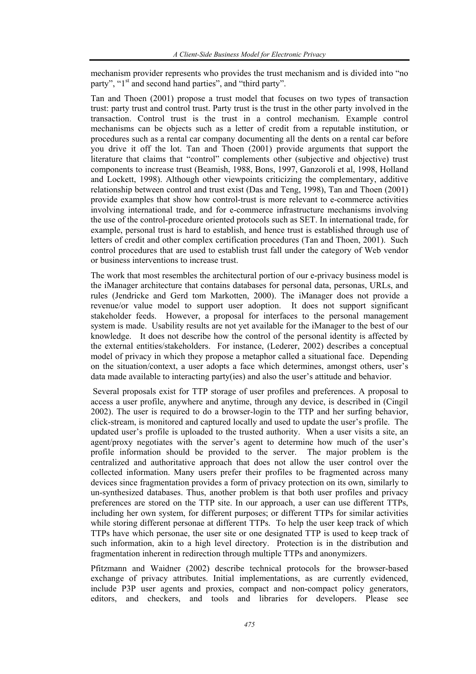mechanism provider represents who provides the trust mechanism and is divided into "no party", "1<sup>st</sup> and second hand parties", and "third party".

Tan and Thoen (2001) propose a trust model that focuses on two types of transaction trust: party trust and control trust. Party trust is the trust in the other party involved in the transaction. Control trust is the trust in a control mechanism. Example control mechanisms can be objects such as a letter of credit from a reputable institution, or procedures such as a rental car company documenting all the dents on a rental car before you drive it off the lot. Tan and Thoen (2001) provide arguments that support the literature that claims that "control" complements other (subjective and objective) trust components to increase trust (Beamish, 1988, Bons, 1997, Ganzoroli et al, 1998, Holland and Lockett, 1998). Although other viewpoints criticizing the complementary, additive relationship between control and trust exist (Das and Teng, 1998), Tan and Thoen (2001) provide examples that show how control-trust is more relevant to e-commerce activities involving international trade, and for e-commerce infrastructure mechanisms involving the use of the control-procedure oriented protocols such as SET. In international trade, for example, personal trust is hard to establish, and hence trust is established through use of letters of credit and other complex certification procedures (Tan and Thoen, 2001). Such control procedures that are used to establish trust fall under the category of Web vendor or business interventions to increase trust.

The work that most resembles the architectural portion of our e-privacy business model is the iManager architecture that contains databases for personal data, personas, URLs, and rules (Jendricke and Gerd tom Markotten, 2000). The iManager does not provide a revenue/or value model to support user adoption. It does not support significant stakeholder feeds. However, a proposal for interfaces to the personal management system is made. Usability results are not yet available for the iManager to the best of our knowledge. It does not describe how the control of the personal identity is affected by the external entities/stakeholders. For instance, (Lederer, 2002) describes a conceptual model of privacy in which they propose a metaphor called a situational face. Depending on the situation/context, a user adopts a face which determines, amongst others, user's data made available to interacting party(ies) and also the user's attitude and behavior.

 Several proposals exist for TTP storage of user profiles and preferences. A proposal to access a user profile, anywhere and anytime, through any device, is described in (Cingil 2002). The user is required to do a browser-login to the TTP and her surfing behavior, click-stream, is monitored and captured locally and used to update the user's profile. The updated user's profile is uploaded to the trusted authority. When a user visits a site, an agent/proxy negotiates with the server's agent to determine how much of the user's profile information should be provided to the server. The major problem is the centralized and authoritative approach that does not allow the user control over the collected information. Many users prefer their profiles to be fragmented across many devices since fragmentation provides a form of privacy protection on its own, similarly to un-synthesized databases. Thus, another problem is that both user profiles and privacy preferences are stored on the TTP site. In our approach, a user can use different TTPs, including her own system, for different purposes; or different TTPs for similar activities while storing different personae at different TTPs. To help the user keep track of which TTPs have which personae, the user site or one designated TTP is used to keep track of such information, akin to a high level directory. Protection is in the distribution and fragmentation inherent in redirection through multiple TTPs and anonymizers.

Pfitzmann and Waidner (2002) describe technical protocols for the browser-based exchange of privacy attributes. Initial implementations, as are currently evidenced, include P3P user agents and proxies, compact and non-compact policy generators, editors, and checkers, and tools and libraries for developers. Please see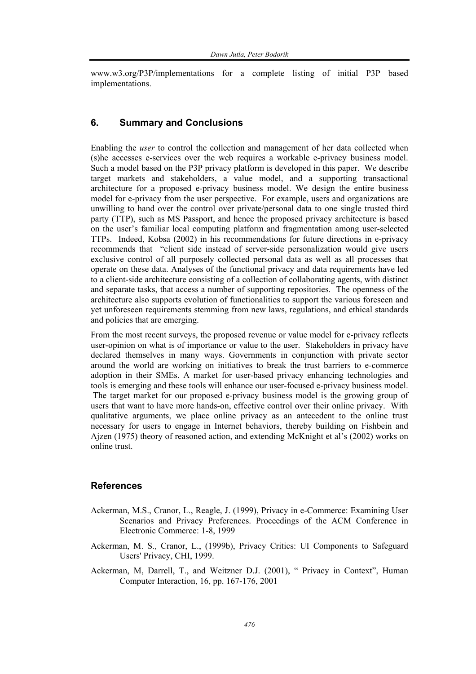www.w3.org/P3P/implementations for a complete listing of initial P3P based implementations.

#### **6. Summary and Conclusions**

Enabling the *user* to control the collection and management of her data collected when (s)he accesses e-services over the web requires a workable e-privacy business model. Such a model based on the P3P privacy platform is developed in this paper. We describe target markets and stakeholders, a value model, and a supporting transactional architecture for a proposed e-privacy business model. We design the entire business model for e-privacy from the user perspective. For example, users and organizations are unwilling to hand over the control over private/personal data to one single trusted third party (TTP), such as MS Passport, and hence the proposed privacy architecture is based on the user's familiar local computing platform and fragmentation among user-selected TTPs. Indeed, Kobsa (2002) in his recommendations for future directions in e-privacy recommends that "client side instead of server-side personalization would give users exclusive control of all purposely collected personal data as well as all processes that operate on these data. Analyses of the functional privacy and data requirements have led to a client-side architecture consisting of a collection of collaborating agents, with distinct and separate tasks, that access a number of supporting repositories. The openness of the architecture also supports evolution of functionalities to support the various foreseen and yet unforeseen requirements stemming from new laws, regulations, and ethical standards and policies that are emerging.

From the most recent surveys, the proposed revenue or value model for e-privacy reflects user-opinion on what is of importance or value to the user. Stakeholders in privacy have declared themselves in many ways. Governments in conjunction with private sector around the world are working on initiatives to break the trust barriers to e-commerce adoption in their SMEs. A market for user-based privacy enhancing technologies and tools is emerging and these tools will enhance our user-focused e-privacy business model. The target market for our proposed e-privacy business model is the growing group of users that want to have more hands-on, effective control over their online privacy. With qualitative arguments, we place online privacy as an antecedent to the online trust necessary for users to engage in Internet behaviors, thereby building on Fishbein and Ajzen (1975) theory of reasoned action, and extending McKnight et al's (2002) works on online trust.

#### **References**

- Ackerman, M.S., Cranor, L., Reagle, J. (1999), Privacy in e-Commerce: Examining User Scenarios and Privacy Preferences. Proceedings of the ACM Conference in Electronic Commerce: 1-8, 1999
- Ackerman, M. S., Cranor, L., (1999b), Privacy Critics: UI Components to Safeguard Users' Privacy, CHI, 1999.
- Ackerman, M, Darrell, T., and Weitzner D.J. (2001), " Privacy in Context", Human Computer Interaction, 16, pp. 167-176, 2001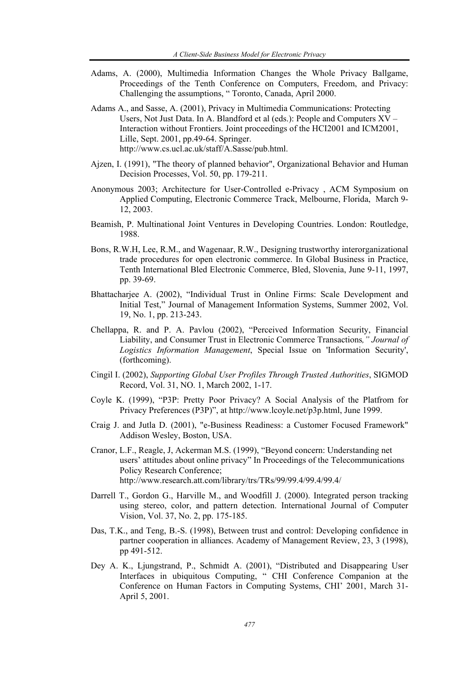- Adams, A. (2000), Multimedia Information Changes the Whole Privacy Ballgame, Proceedings of the Tenth Conference on Computers, Freedom, and Privacy: Challenging the assumptions, " Toronto, Canada, April 2000.
- Adams A., and Sasse, A. (2001), Privacy in Multimedia Communications: Protecting Users, Not Just Data. In A. Blandford et al (eds.): People and Computers XV – Interaction without Frontiers. Joint proceedings of the HCI2001 and ICM2001, Lille, Sept. 2001, pp.49-64. Springer. http://www.cs.ucl.ac.uk/staff/A.Sasse/pub.html.
- Ajzen, I. (1991), "The theory of planned behavior", Organizational Behavior and Human Decision Processes, Vol. 50, pp. 179-211.
- Anonymous 2003; Architecture for User-Controlled e-Privacy , ACM Symposium on Applied Computing, Electronic Commerce Track, Melbourne, Florida, March 9- 12, 2003.
- Beamish, P. Multinational Joint Ventures in Developing Countries. London: Routledge, 1988.
- Bons, R.W.H, Lee, R.M., and Wagenaar, R.W., Designing trustworthy interorganizational trade procedures for open electronic commerce. In Global Business in Practice, Tenth International Bled Electronic Commerce, Bled, Slovenia, June 9-11, 1997, pp. 39-69.
- Bhattacharjee A. (2002), "Individual Trust in Online Firms: Scale Development and Initial Test," Journal of Management Information Systems, Summer 2002, Vol. 19, No. 1, pp. 213-243.
- Chellappa, R. and P. A. Pavlou (2002), "Perceived Information Security, Financial Liability, and Consumer Trust in Electronic Commerce Transactions*," Journal of Logistics Information Management*, Special Issue on 'Information Security', (forthcoming).
- Cingil I. (2002), *Supporting Global User Profiles Through Trusted Authorities*, SIGMOD Record, Vol. 31, NO. 1, March 2002, 1-17.
- Coyle K. (1999), "P3P: Pretty Poor Privacy? A Social Analysis of the Platfrom for Privacy Preferences (P3P)", at http://www.lcoyle.net/p3p.html, June 1999.
- Craig J. and Jutla D. (2001), "e-Business Readiness: a Customer Focused Framework" Addison Wesley, Boston, USA.
- Cranor, L.F., Reagle, J, Ackerman M.S. (1999), "Beyond concern: Understanding net users' attitudes about online privacy" In Proceedings of the Telecommunications Policy Research Conference; http://www.research.att.com/library/trs/TRs/99/99.4/99.4/99.4/
- Darrell T., Gordon G., Harville M., and Woodfill J. (2000). Integrated person tracking using stereo, color, and pattern detection. International Journal of Computer Vision, Vol. 37, No. 2, pp. 175-185.
- Das, T.K., and Teng, B.-S. (1998), Between trust and control: Developing confidence in partner cooperation in alliances. Academy of Management Review, 23, 3 (1998), pp 491-512.
- Dey A. K., Ljungstrand, P., Schmidt A. (2001), "Distributed and Disappearing User Interfaces in ubiquitous Computing, " CHI Conference Companion at the Conference on Human Factors in Computing Systems, CHI' 2001, March 31- April 5, 2001.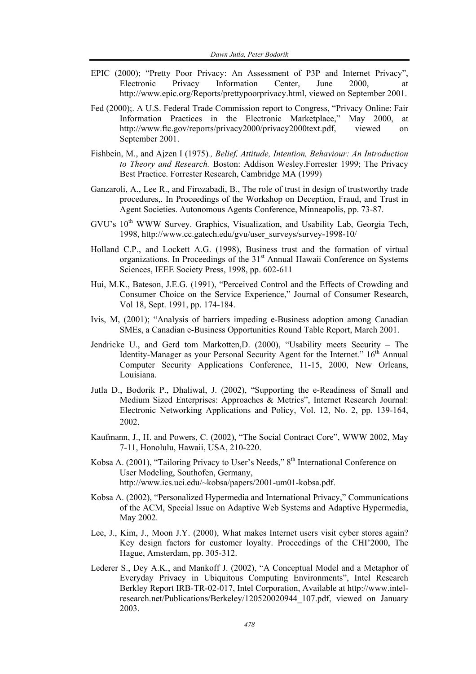- EPIC (2000); "Pretty Poor Privacy: An Assessment of P3P and Internet Privacy", Electronic Privacy Information Center, June 2000, at http://www.epic.org/Reports/prettypoorprivacy.html, viewed on September 2001.
- Fed (2000);. A U.S. Federal Trade Commission report to Congress, "Privacy Online: Fair Information Practices in the Electronic Marketplace," May 2000, at http://www.ftc.gov/reports/privacy2000/privacy2000text.pdf, viewed on September 2001.
- Fishbein, M., and Ajzen I (1975)*., Belief, Attitude, Intention, Behaviour: An Introduction to Theory and Research.* Boston: Addison Wesley.Forrester 1999; The Privacy Best Practice. Forrester Research, Cambridge MA (1999)
- Ganzaroli, A., Lee R., and Firozabadi, B., The role of trust in design of trustworthy trade procedures,. In Proceedings of the Workshop on Deception, Fraud, and Trust in Agent Societies. Autonomous Agents Conference, Minneapolis, pp. 73-87.
- GVU's 10<sup>th</sup> WWW Survey. Graphics, Visualization, and Usability Lab, Georgia Tech, 1998, http://www.cc.gatech.edu/gvu/user\_surveys/survey-1998-10/
- Holland C.P., and Lockett A.G. (1998), Business trust and the formation of virtual organizations. In Proceedings of the 31<sup>st</sup> Annual Hawaii Conference on Systems Sciences, IEEE Society Press, 1998, pp. 602-611
- Hui, M.K., Bateson, J.E.G. (1991), "Perceived Control and the Effects of Crowding and Consumer Choice on the Service Experience," Journal of Consumer Research, Vol 18, Sept. 1991, pp. 174-184.
- Ivis, M, (2001); "Analysis of barriers impeding e-Business adoption among Canadian SMEs, a Canadian e-Business Opportunities Round Table Report, March 2001.
- Jendricke U., and Gerd tom Markotten,D. (2000), "Usability meets Security The Identity-Manager as your Personal Security Agent for the Internet."  $16<sup>th</sup>$  Annual Computer Security Applications Conference, 11-15, 2000, New Orleans, Louisiana.
- Jutla D., Bodorik P., Dhaliwal, J. (2002), "Supporting the e-Readiness of Small and Medium Sized Enterprises: Approaches & Metrics", Internet Research Journal: Electronic Networking Applications and Policy, Vol. 12, No. 2, pp. 139-164, 2002.
- Kaufmann, J., H. and Powers, C. (2002), "The Social Contract Core", WWW 2002, May 7-11, Honolulu, Hawaii, USA, 210-220.
- Kobsa A. (2001), "Tailoring Privacy to User's Needs," 8<sup>th</sup> International Conference on User Modeling, Southofen, Germany, http://www.ics.uci.edu/~kobsa/papers/2001-um01-kobsa.pdf.
- Kobsa A. (2002), "Personalized Hypermedia and International Privacy," Communications of the ACM, Special Issue on Adaptive Web Systems and Adaptive Hypermedia, May 2002.
- Lee, J., Kim, J., Moon J.Y. (2000), What makes Internet users visit cyber stores again? Key design factors for customer loyalty. Proceedings of the CHI'2000, The Hague, Amsterdam, pp. 305-312.
- Lederer S., Dey A.K., and Mankoff J. (2002), "A Conceptual Model and a Metaphor of Everyday Privacy in Ubiquitous Computing Environments", Intel Research Berkley Report IRB-TR-02-017, Intel Corporation, Available at http://www.intelresearch.net/Publications/Berkeley/120520020944\_107.pdf, viewed on January 2003.